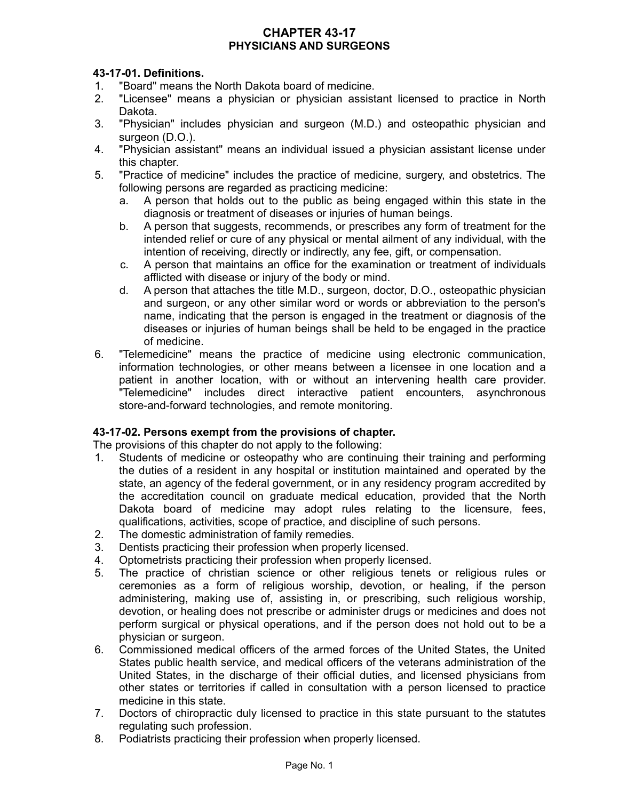## **CHAPTER 43-17 PHYSICIANS AND SURGEONS**

## **43-17-01. Definitions.**

- 1. "Board" means the North Dakota board of medicine.
- 2. "Licensee" means a physician or physician assistant licensed to practice in North Dakota.
- 3. "Physician" includes physician and surgeon (M.D.) and osteopathic physician and surgeon (D.O.).
- 4. "Physician assistant" means an individual issued a physician assistant license under this chapter.
- 5. "Practice of medicine" includes the practice of medicine, surgery, and obstetrics. The following persons are regarded as practicing medicine:
	- a. A person that holds out to the public as being engaged within this state in the diagnosis or treatment of diseases or injuries of human beings.
	- b. A person that suggests, recommends, or prescribes any form of treatment for the intended relief or cure of any physical or mental ailment of any individual, with the intention of receiving, directly or indirectly, any fee, gift, or compensation.
	- c. A person that maintains an office for the examination or treatment of individuals afflicted with disease or injury of the body or mind.
	- d. A person that attaches the title M.D., surgeon, doctor, D.O., osteopathic physician and surgeon, or any other similar word or words or abbreviation to the person's name, indicating that the person is engaged in the treatment or diagnosis of the diseases or injuries of human beings shall be held to be engaged in the practice of medicine.
- 6. "Telemedicine" means the practice of medicine using electronic communication, information technologies, or other means between a licensee in one location and a patient in another location, with or without an intervening health care provider. "Telemedicine" includes direct interactive patient encounters, asynchronous store-and-forward technologies, and remote monitoring.

### **43-17-02. Persons exempt from the provisions of chapter.**

The provisions of this chapter do not apply to the following:

- 1. Students of medicine or osteopathy who are continuing their training and performing the duties of a resident in any hospital or institution maintained and operated by the state, an agency of the federal government, or in any residency program accredited by the accreditation council on graduate medical education, provided that the North Dakota board of medicine may adopt rules relating to the licensure, fees, qualifications, activities, scope of practice, and discipline of such persons.
- 2. The domestic administration of family remedies.
- 3. Dentists practicing their profession when properly licensed.
- 4. Optometrists practicing their profession when properly licensed.
- 5. The practice of christian science or other religious tenets or religious rules or ceremonies as a form of religious worship, devotion, or healing, if the person administering, making use of, assisting in, or prescribing, such religious worship, devotion, or healing does not prescribe or administer drugs or medicines and does not perform surgical or physical operations, and if the person does not hold out to be a physician or surgeon.
- 6. Commissioned medical officers of the armed forces of the United States, the United States public health service, and medical officers of the veterans administration of the United States, in the discharge of their official duties, and licensed physicians from other states or territories if called in consultation with a person licensed to practice medicine in this state.
- 7. Doctors of chiropractic duly licensed to practice in this state pursuant to the statutes regulating such profession.
- 8. Podiatrists practicing their profession when properly licensed.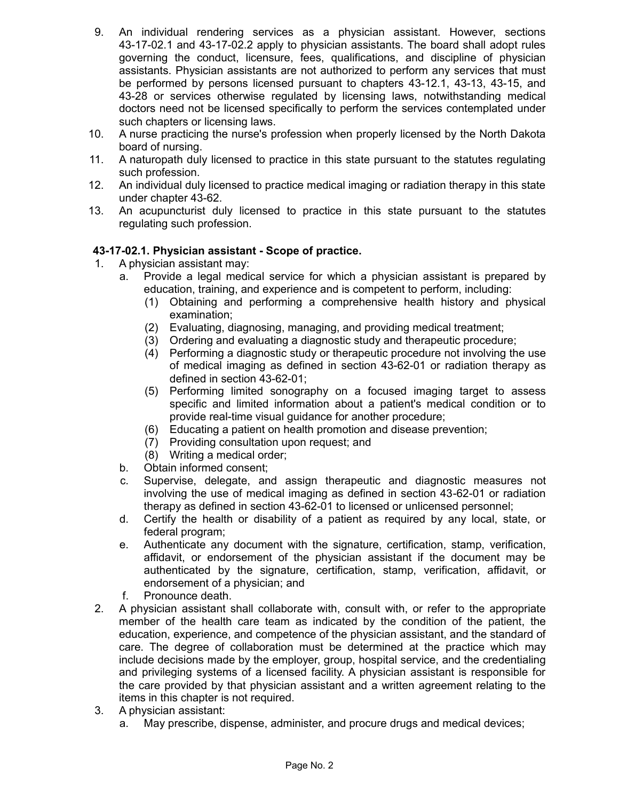- 9. An individual rendering services as a physician assistant. However, sections 43-17-02.1 and 43-17-02.2 apply to physician assistants. The board shall adopt rules governing the conduct, licensure, fees, qualifications, and discipline of physician assistants. Physician assistants are not authorized to perform any services that must be performed by persons licensed pursuant to chapters 43-12.1, 43-13, 43-15, and 43-28 or services otherwise regulated by licensing laws, notwithstanding medical doctors need not be licensed specifically to perform the services contemplated under such chapters or licensing laws.
- 10. A nurse practicing the nurse's profession when properly licensed by the North Dakota board of nursing.
- 11. A naturopath duly licensed to practice in this state pursuant to the statutes regulating such profession.
- 12. An individual duly licensed to practice medical imaging or radiation therapy in this state under chapter 43-62.
- 13. An acupuncturist duly licensed to practice in this state pursuant to the statutes regulating such profession.

# **43-17-02.1. Physician assistant - Scope of practice.**

- 1. A physician assistant may:
	- a. Provide a legal medical service for which a physician assistant is prepared by education, training, and experience and is competent to perform, including:
		- (1) Obtaining and performing a comprehensive health history and physical examination;
		- (2) Evaluating, diagnosing, managing, and providing medical treatment;
		- (3) Ordering and evaluating a diagnostic study and therapeutic procedure;
		- (4) Performing a diagnostic study or therapeutic procedure not involving the use of medical imaging as defined in section 43-62-01 or radiation therapy as defined in section 43-62-01;
		- (5) Performing limited sonography on a focused imaging target to assess specific and limited information about a patient's medical condition or to provide real-time visual guidance for another procedure;
		- (6) Educating a patient on health promotion and disease prevention;
		- (7) Providing consultation upon request; and
		- (8) Writing a medical order;
	- b. Obtain informed consent;
	- c. Supervise, delegate, and assign therapeutic and diagnostic measures not involving the use of medical imaging as defined in section 43-62-01 or radiation therapy as defined in section 43-62-01 to licensed or unlicensed personnel;
	- d. Certify the health or disability of a patient as required by any local, state, or federal program;
	- e. Authenticate any document with the signature, certification, stamp, verification, affidavit, or endorsement of the physician assistant if the document may be authenticated by the signature, certification, stamp, verification, affidavit, or endorsement of a physician; and
	- f. Pronounce death.
- 2. A physician assistant shall collaborate with, consult with, or refer to the appropriate member of the health care team as indicated by the condition of the patient, the education, experience, and competence of the physician assistant, and the standard of care. The degree of collaboration must be determined at the practice which may include decisions made by the employer, group, hospital service, and the credentialing and privileging systems of a licensed facility. A physician assistant is responsible for the care provided by that physician assistant and a written agreement relating to the items in this chapter is not required.
- 3. A physician assistant:
	- a. May prescribe, dispense, administer, and procure drugs and medical devices;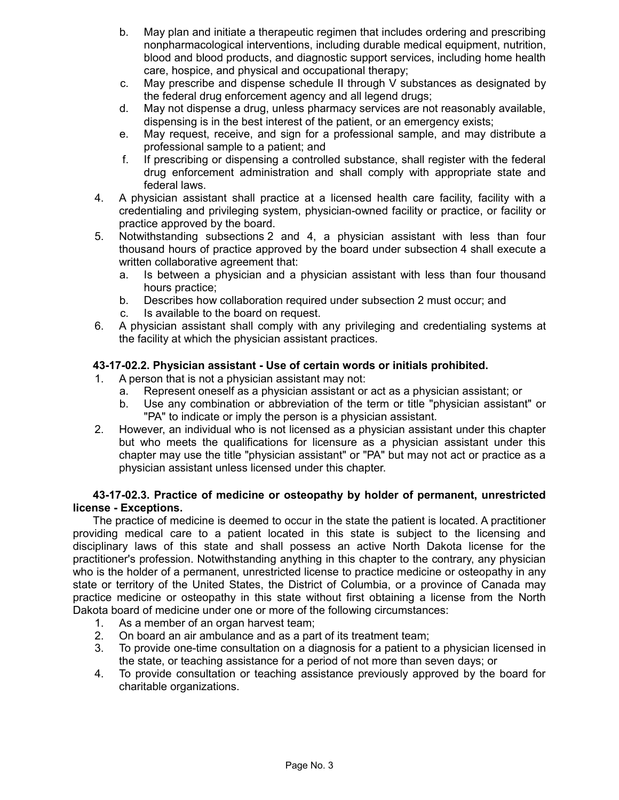- b. May plan and initiate a therapeutic regimen that includes ordering and prescribing nonpharmacological interventions, including durable medical equipment, nutrition, blood and blood products, and diagnostic support services, including home health care, hospice, and physical and occupational therapy;
- c. May prescribe and dispense schedule II through V substances as designated by the federal drug enforcement agency and all legend drugs;
- d. May not dispense a drug, unless pharmacy services are not reasonably available, dispensing is in the best interest of the patient, or an emergency exists;
- e. May request, receive, and sign for a professional sample, and may distribute a professional sample to a patient; and
- f. If prescribing or dispensing a controlled substance, shall register with the federal drug enforcement administration and shall comply with appropriate state and federal laws.
- 4. A physician assistant shall practice at a licensed health care facility, facility with a credentialing and privileging system, physician-owned facility or practice, or facility or practice approved by the board.
- 5. Notwithstanding subsections 2 and 4, a physician assistant with less than four thousand hours of practice approved by the board under subsection 4 shall execute a written collaborative agreement that:
	- a. Is between a physician and a physician assistant with less than four thousand hours practice;
	- b. Describes how collaboration required under subsection 2 must occur; and
	- c. Is available to the board on request.
- 6. A physician assistant shall comply with any privileging and credentialing systems at the facility at which the physician assistant practices.

# **43-17-02.2. Physician assistant - Use of certain words or initials prohibited.**

- 1. A person that is not a physician assistant may not:
	- a. Represent oneself as a physician assistant or act as a physician assistant; or
	- b. Use any combination or abbreviation of the term or title "physician assistant" or "PA" to indicate or imply the person is a physician assistant.
- 2. However, an individual who is not licensed as a physician assistant under this chapter but who meets the qualifications for licensure as a physician assistant under this chapter may use the title "physician assistant" or "PA" but may not act or practice as a physician assistant unless licensed under this chapter.

## **43-17-02.3. Practice of medicine or osteopathy by holder of permanent, unrestricted license - Exceptions.**

The practice of medicine is deemed to occur in the state the patient is located. A practitioner providing medical care to a patient located in this state is subject to the licensing and disciplinary laws of this state and shall possess an active North Dakota license for the practitioner's profession. Notwithstanding anything in this chapter to the contrary, any physician who is the holder of a permanent, unrestricted license to practice medicine or osteopathy in any state or territory of the United States, the District of Columbia, or a province of Canada may practice medicine or osteopathy in this state without first obtaining a license from the North Dakota board of medicine under one or more of the following circumstances:

- 1. As a member of an organ harvest team;
- 2. On board an air ambulance and as a part of its treatment team;
- 3. To provide one-time consultation on a diagnosis for a patient to a physician licensed in the state, or teaching assistance for a period of not more than seven days; or
- 4. To provide consultation or teaching assistance previously approved by the board for charitable organizations.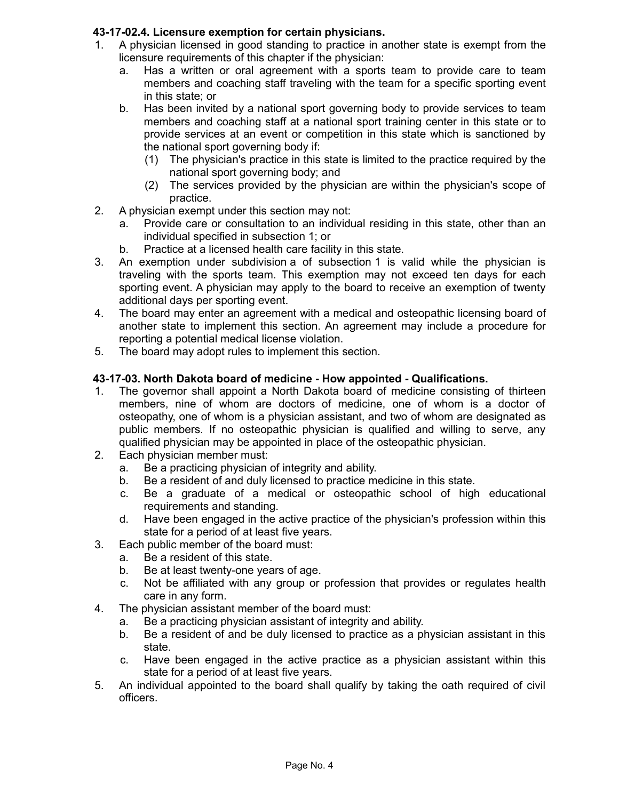## **43-17-02.4. Licensure exemption for certain physicians.**

- 1. A physician licensed in good standing to practice in another state is exempt from the licensure requirements of this chapter if the physician:
	- a. Has a written or oral agreement with a sports team to provide care to team members and coaching staff traveling with the team for a specific sporting event in this state; or
	- b. Has been invited by a national sport governing body to provide services to team members and coaching staff at a national sport training center in this state or to provide services at an event or competition in this state which is sanctioned by the national sport governing body if:
		- (1) The physician's practice in this state is limited to the practice required by the national sport governing body; and
		- (2) The services provided by the physician are within the physician's scope of practice.
- 2. A physician exempt under this section may not:
	- a. Provide care or consultation to an individual residing in this state, other than an individual specified in subsection 1; or
	- b. Practice at a licensed health care facility in this state.
- 3. An exemption under subdivision a of subsection 1 is valid while the physician is traveling with the sports team. This exemption may not exceed ten days for each sporting event. A physician may apply to the board to receive an exemption of twenty additional days per sporting event.
- 4. The board may enter an agreement with a medical and osteopathic licensing board of another state to implement this section. An agreement may include a procedure for reporting a potential medical license violation.
- 5. The board may adopt rules to implement this section.

## **43-17-03. North Dakota board of medicine - How appointed - Qualifications.**

- 1. The governor shall appoint a North Dakota board of medicine consisting of thirteen members, nine of whom are doctors of medicine, one of whom is a doctor of osteopathy, one of whom is a physician assistant, and two of whom are designated as public members. If no osteopathic physician is qualified and willing to serve, any qualified physician may be appointed in place of the osteopathic physician.
- 2. Each physician member must:
	- a. Be a practicing physician of integrity and ability.
	- b. Be a resident of and duly licensed to practice medicine in this state.
	- c. Be a graduate of a medical or osteopathic school of high educational requirements and standing.
	- d. Have been engaged in the active practice of the physician's profession within this state for a period of at least five years.
- 3. Each public member of the board must:
	- a. Be a resident of this state.
	- b. Be at least twenty-one years of age.
	- c. Not be affiliated with any group or profession that provides or regulates health care in any form.
- 4. The physician assistant member of the board must:
	- a. Be a practicing physician assistant of integrity and ability.
	- b. Be a resident of and be duly licensed to practice as a physician assistant in this state.
	- c. Have been engaged in the active practice as a physician assistant within this state for a period of at least five years.
- 5. An individual appointed to the board shall qualify by taking the oath required of civil officers.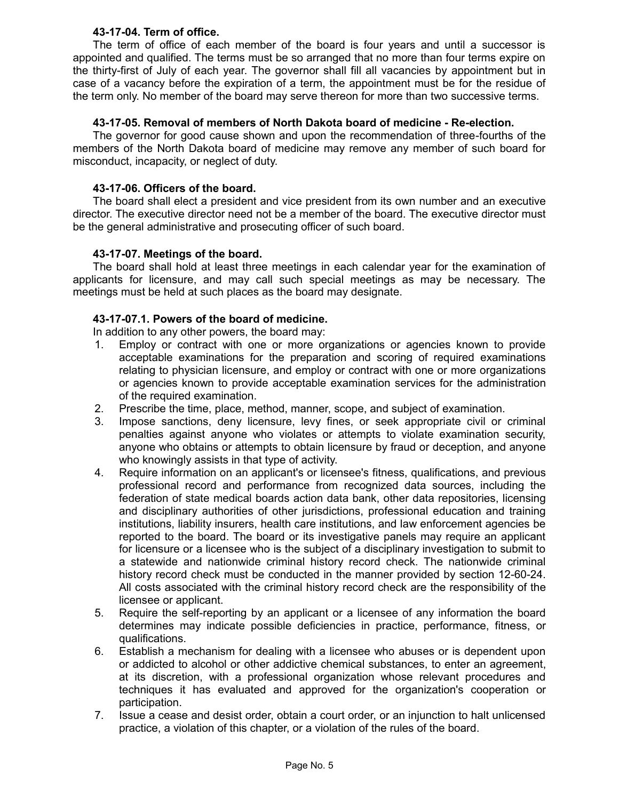### **43-17-04. Term of office.**

The term of office of each member of the board is four years and until a successor is appointed and qualified. The terms must be so arranged that no more than four terms expire on the thirty-first of July of each year. The governor shall fill all vacancies by appointment but in case of a vacancy before the expiration of a term, the appointment must be for the residue of the term only. No member of the board may serve thereon for more than two successive terms.

### **43-17-05. Removal of members of North Dakota board of medicine - Re-election.**

The governor for good cause shown and upon the recommendation of three-fourths of the members of the North Dakota board of medicine may remove any member of such board for misconduct, incapacity, or neglect of duty.

### **43-17-06. Officers of the board.**

The board shall elect a president and vice president from its own number and an executive director. The executive director need not be a member of the board. The executive director must be the general administrative and prosecuting officer of such board.

### **43-17-07. Meetings of the board.**

The board shall hold at least three meetings in each calendar year for the examination of applicants for licensure, and may call such special meetings as may be necessary. The meetings must be held at such places as the board may designate.

### **43-17-07.1. Powers of the board of medicine.**

In addition to any other powers, the board may:

- 1. Employ or contract with one or more organizations or agencies known to provide acceptable examinations for the preparation and scoring of required examinations relating to physician licensure, and employ or contract with one or more organizations or agencies known to provide acceptable examination services for the administration of the required examination.
- 2. Prescribe the time, place, method, manner, scope, and subject of examination.
- 3. Impose sanctions, deny licensure, levy fines, or seek appropriate civil or criminal penalties against anyone who violates or attempts to violate examination security, anyone who obtains or attempts to obtain licensure by fraud or deception, and anyone who knowingly assists in that type of activity.
- 4. Require information on an applicant's or licensee's fitness, qualifications, and previous professional record and performance from recognized data sources, including the federation of state medical boards action data bank, other data repositories, licensing and disciplinary authorities of other jurisdictions, professional education and training institutions, liability insurers, health care institutions, and law enforcement agencies be reported to the board. The board or its investigative panels may require an applicant for licensure or a licensee who is the subject of a disciplinary investigation to submit to a statewide and nationwide criminal history record check. The nationwide criminal history record check must be conducted in the manner provided by section 12-60-24. All costs associated with the criminal history record check are the responsibility of the licensee or applicant.
- 5. Require the self-reporting by an applicant or a licensee of any information the board determines may indicate possible deficiencies in practice, performance, fitness, or qualifications.
- 6. Establish a mechanism for dealing with a licensee who abuses or is dependent upon or addicted to alcohol or other addictive chemical substances, to enter an agreement, at its discretion, with a professional organization whose relevant procedures and techniques it has evaluated and approved for the organization's cooperation or participation.
- 7. Issue a cease and desist order, obtain a court order, or an injunction to halt unlicensed practice, a violation of this chapter, or a violation of the rules of the board.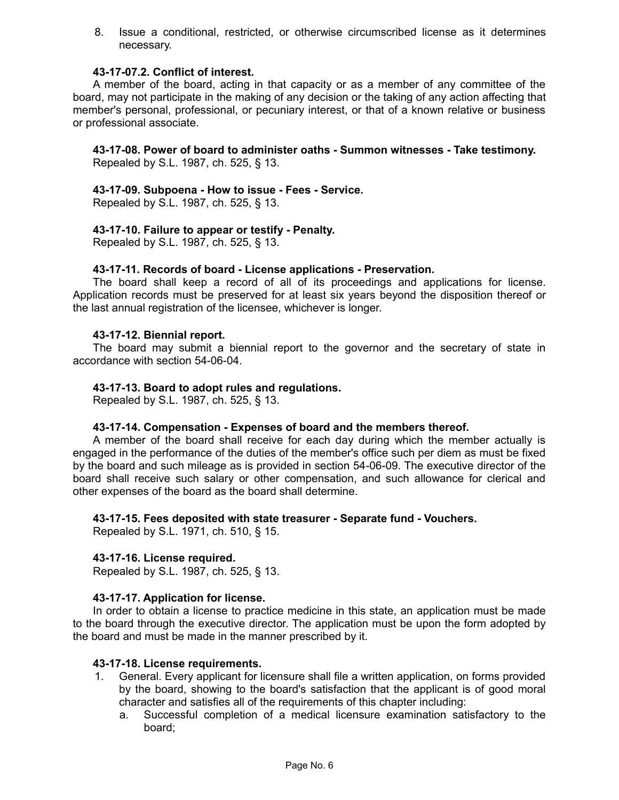8. Issue a conditional, restricted, or otherwise circumscribed license as it determines necessary.

### **43-17-07.2. Conflict of interest.**

A member of the board, acting in that capacity or as a member of any committee of the board, may not participate in the making of any decision or the taking of any action affecting that member's personal, professional, or pecuniary interest, or that of a known relative or business or professional associate.

#### **43-17-08. Power of board to administer oaths - Summon witnesses - Take testimony.** Repealed by S.L. 1987, ch. 525, § 13.

## **43-17-09. Subpoena - How to issue - Fees - Service.**

Repealed by S.L. 1987, ch. 525, § 13.

### **43-17-10. Failure to appear or testify - Penalty.**

Repealed by S.L. 1987, ch. 525, § 13.

### **43-17-11. Records of board - License applications - Preservation.**

The board shall keep a record of all of its proceedings and applications for license. Application records must be preserved for at least six years beyond the disposition thereof or the last annual registration of the licensee, whichever is longer.

#### **43-17-12. Biennial report.**

The board may submit a biennial report to the governor and the secretary of state in accordance with section 54-06-04.

### **43-17-13. Board to adopt rules and regulations.**

Repealed by S.L. 1987, ch. 525, § 13.

#### **43-17-14. Compensation - Expenses of board and the members thereof.**

A member of the board shall receive for each day during which the member actually is engaged in the performance of the duties of the member's office such per diem as must be fixed by the board and such mileage as is provided in section 54-06-09. The executive director of the board shall receive such salary or other compensation, and such allowance for clerical and other expenses of the board as the board shall determine.

#### **43-17-15. Fees deposited with state treasurer - Separate fund - Vouchers.**

Repealed by S.L. 1971, ch. 510, § 15.

#### **43-17-16. License required.**

Repealed by S.L. 1987, ch. 525, § 13.

#### **43-17-17. Application for license.**

In order to obtain a license to practice medicine in this state, an application must be made to the board through the executive director. The application must be upon the form adopted by the board and must be made in the manner prescribed by it.

#### **43-17-18. License requirements.**

- 1. General. Every applicant for licensure shall file a written application, on forms provided by the board, showing to the board's satisfaction that the applicant is of good moral character and satisfies all of the requirements of this chapter including:
	- a. Successful completion of a medical licensure examination satisfactory to the board;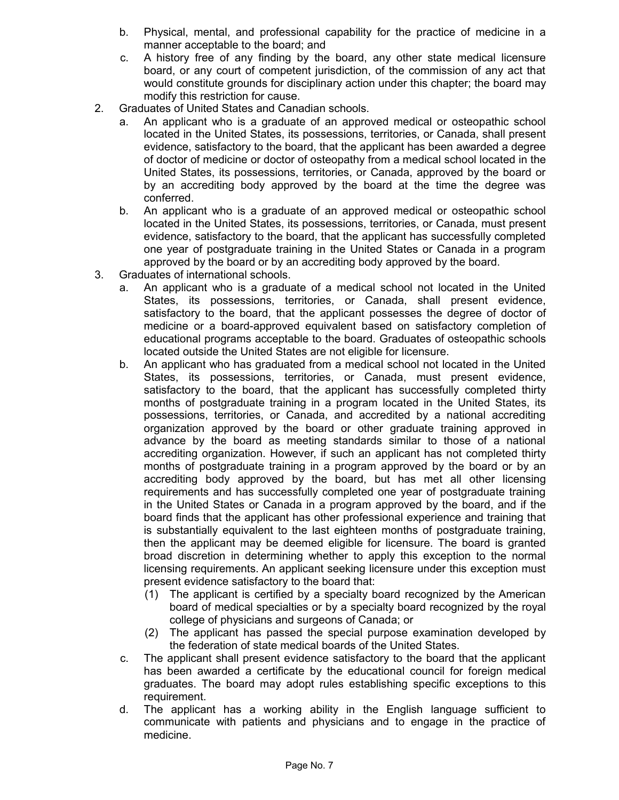- b. Physical, mental, and professional capability for the practice of medicine in a manner acceptable to the board; and
- c. A history free of any finding by the board, any other state medical licensure board, or any court of competent jurisdiction, of the commission of any act that would constitute grounds for disciplinary action under this chapter; the board may modify this restriction for cause.
- 2. Graduates of United States and Canadian schools.
	- a. An applicant who is a graduate of an approved medical or osteopathic school located in the United States, its possessions, territories, or Canada, shall present evidence, satisfactory to the board, that the applicant has been awarded a degree of doctor of medicine or doctor of osteopathy from a medical school located in the United States, its possessions, territories, or Canada, approved by the board or by an accrediting body approved by the board at the time the degree was conferred.
	- b. An applicant who is a graduate of an approved medical or osteopathic school located in the United States, its possessions, territories, or Canada, must present evidence, satisfactory to the board, that the applicant has successfully completed one year of postgraduate training in the United States or Canada in a program approved by the board or by an accrediting body approved by the board.
- 3. Graduates of international schools.
	- a. An applicant who is a graduate of a medical school not located in the United States, its possessions, territories, or Canada, shall present evidence, satisfactory to the board, that the applicant possesses the degree of doctor of medicine or a board-approved equivalent based on satisfactory completion of educational programs acceptable to the board. Graduates of osteopathic schools located outside the United States are not eligible for licensure.
	- b. An applicant who has graduated from a medical school not located in the United States, its possessions, territories, or Canada, must present evidence, satisfactory to the board, that the applicant has successfully completed thirty months of postgraduate training in a program located in the United States, its possessions, territories, or Canada, and accredited by a national accrediting organization approved by the board or other graduate training approved in advance by the board as meeting standards similar to those of a national accrediting organization. However, if such an applicant has not completed thirty months of postgraduate training in a program approved by the board or by an accrediting body approved by the board, but has met all other licensing requirements and has successfully completed one year of postgraduate training in the United States or Canada in a program approved by the board, and if the board finds that the applicant has other professional experience and training that is substantially equivalent to the last eighteen months of postgraduate training, then the applicant may be deemed eligible for licensure. The board is granted broad discretion in determining whether to apply this exception to the normal licensing requirements. An applicant seeking licensure under this exception must present evidence satisfactory to the board that:
		- (1) The applicant is certified by a specialty board recognized by the American board of medical specialties or by a specialty board recognized by the royal college of physicians and surgeons of Canada; or
		- (2) The applicant has passed the special purpose examination developed by the federation of state medical boards of the United States.
	- c. The applicant shall present evidence satisfactory to the board that the applicant has been awarded a certificate by the educational council for foreign medical graduates. The board may adopt rules establishing specific exceptions to this requirement.
	- d. The applicant has a working ability in the English language sufficient to communicate with patients and physicians and to engage in the practice of medicine.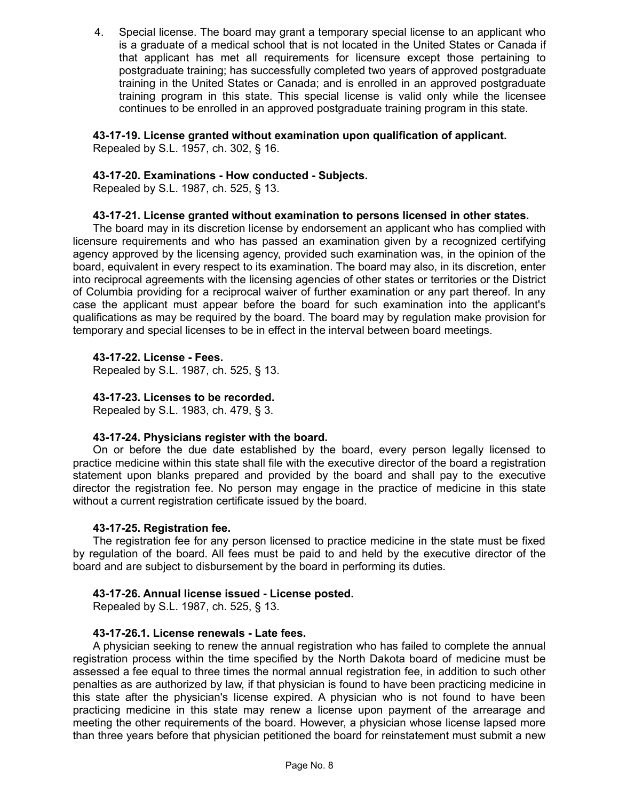4. Special license. The board may grant a temporary special license to an applicant who is a graduate of a medical school that is not located in the United States or Canada if that applicant has met all requirements for licensure except those pertaining to postgraduate training; has successfully completed two years of approved postgraduate training in the United States or Canada; and is enrolled in an approved postgraduate training program in this state. This special license is valid only while the licensee continues to be enrolled in an approved postgraduate training program in this state.

### **43-17-19. License granted without examination upon qualification of applicant.**

Repealed by S.L. 1957, ch. 302, § 16.

### **43-17-20. Examinations - How conducted - Subjects.**

Repealed by S.L. 1987, ch. 525, § 13.

### **43-17-21. License granted without examination to persons licensed in other states.**

The board may in its discretion license by endorsement an applicant who has complied with licensure requirements and who has passed an examination given by a recognized certifying agency approved by the licensing agency, provided such examination was, in the opinion of the board, equivalent in every respect to its examination. The board may also, in its discretion, enter into reciprocal agreements with the licensing agencies of other states or territories or the District of Columbia providing for a reciprocal waiver of further examination or any part thereof. In any case the applicant must appear before the board for such examination into the applicant's qualifications as may be required by the board. The board may by regulation make provision for temporary and special licenses to be in effect in the interval between board meetings.

### **43-17-22. License - Fees.**

Repealed by S.L. 1987, ch. 525, § 13.

### **43-17-23. Licenses to be recorded.**

Repealed by S.L. 1983, ch. 479, § 3.

#### **43-17-24. Physicians register with the board.**

On or before the due date established by the board, every person legally licensed to practice medicine within this state shall file with the executive director of the board a registration statement upon blanks prepared and provided by the board and shall pay to the executive director the registration fee. No person may engage in the practice of medicine in this state without a current registration certificate issued by the board.

#### **43-17-25. Registration fee.**

The registration fee for any person licensed to practice medicine in the state must be fixed by regulation of the board. All fees must be paid to and held by the executive director of the board and are subject to disbursement by the board in performing its duties.

#### **43-17-26. Annual license issued - License posted.**

Repealed by S.L. 1987, ch. 525, § 13.

#### **43-17-26.1. License renewals - Late fees.**

A physician seeking to renew the annual registration who has failed to complete the annual registration process within the time specified by the North Dakota board of medicine must be assessed a fee equal to three times the normal annual registration fee, in addition to such other penalties as are authorized by law, if that physician is found to have been practicing medicine in this state after the physician's license expired. A physician who is not found to have been practicing medicine in this state may renew a license upon payment of the arrearage and meeting the other requirements of the board. However, a physician whose license lapsed more than three years before that physician petitioned the board for reinstatement must submit a new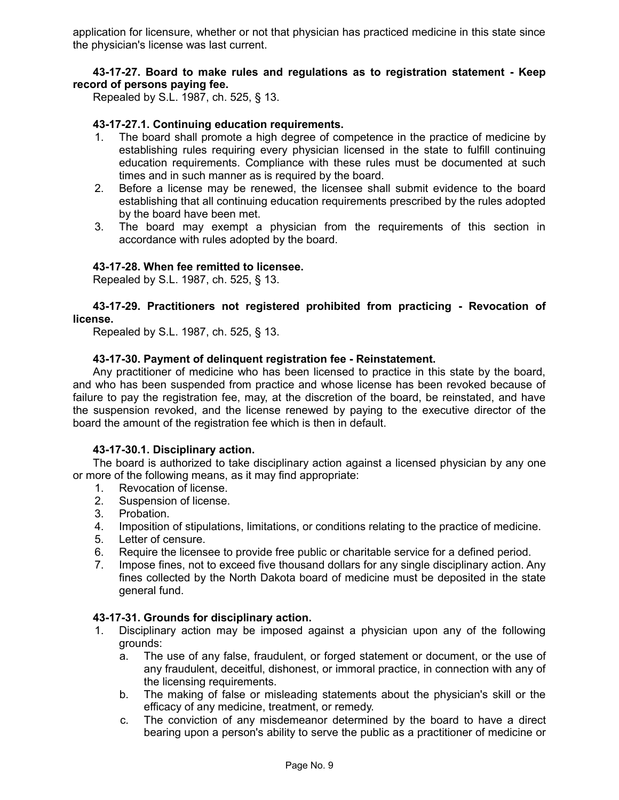application for licensure, whether or not that physician has practiced medicine in this state since the physician's license was last current.

### **43-17-27. Board to make rules and regulations as to registration statement - Keep record of persons paying fee.**

Repealed by S.L. 1987, ch. 525, § 13.

### **43-17-27.1. Continuing education requirements.**

- 1. The board shall promote a high degree of competence in the practice of medicine by establishing rules requiring every physician licensed in the state to fulfill continuing education requirements. Compliance with these rules must be documented at such times and in such manner as is required by the board.
- 2. Before a license may be renewed, the licensee shall submit evidence to the board establishing that all continuing education requirements prescribed by the rules adopted by the board have been met.
- 3. The board may exempt a physician from the requirements of this section in accordance with rules adopted by the board.

#### **43-17-28. When fee remitted to licensee.**

Repealed by S.L. 1987, ch. 525, § 13.

### **43-17-29. Practitioners not registered prohibited from practicing - Revocation of license.**

Repealed by S.L. 1987, ch. 525, § 13.

### **43-17-30. Payment of delinquent registration fee - Reinstatement.**

Any practitioner of medicine who has been licensed to practice in this state by the board, and who has been suspended from practice and whose license has been revoked because of failure to pay the registration fee, may, at the discretion of the board, be reinstated, and have the suspension revoked, and the license renewed by paying to the executive director of the board the amount of the registration fee which is then in default.

#### **43-17-30.1. Disciplinary action.**

The board is authorized to take disciplinary action against a licensed physician by any one or more of the following means, as it may find appropriate:

- 1. Revocation of license.
- 2. Suspension of license.
- 3. Probation.
- 4. Imposition of stipulations, limitations, or conditions relating to the practice of medicine.
- 5. Letter of censure.
- 6. Require the licensee to provide free public or charitable service for a defined period.
- 7. Impose fines, not to exceed five thousand dollars for any single disciplinary action. Any fines collected by the North Dakota board of medicine must be deposited in the state general fund.

#### **43-17-31. Grounds for disciplinary action.**

- 1. Disciplinary action may be imposed against a physician upon any of the following grounds:
	- a. The use of any false, fraudulent, or forged statement or document, or the use of any fraudulent, deceitful, dishonest, or immoral practice, in connection with any of the licensing requirements.
	- b. The making of false or misleading statements about the physician's skill or the efficacy of any medicine, treatment, or remedy.
	- c. The conviction of any misdemeanor determined by the board to have a direct bearing upon a person's ability to serve the public as a practitioner of medicine or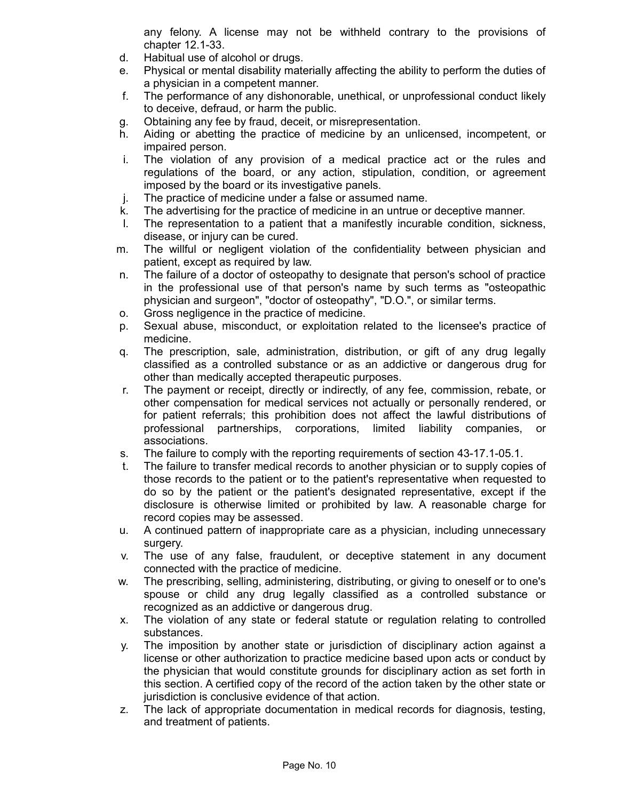any felony. A license may not be withheld contrary to the provisions of chapter 12.1-33.

- d. Habitual use of alcohol or drugs.
- e. Physical or mental disability materially affecting the ability to perform the duties of a physician in a competent manner.
- f. The performance of any dishonorable, unethical, or unprofessional conduct likely to deceive, defraud, or harm the public.
- g. Obtaining any fee by fraud, deceit, or misrepresentation.
- h. Aiding or abetting the practice of medicine by an unlicensed, incompetent, or impaired person.
- i. The violation of any provision of a medical practice act or the rules and regulations of the board, or any action, stipulation, condition, or agreement imposed by the board or its investigative panels.
- j. The practice of medicine under a false or assumed name.
- k. The advertising for the practice of medicine in an untrue or deceptive manner.
- l. The representation to a patient that a manifestly incurable condition, sickness, disease, or injury can be cured.
- m. The willful or negligent violation of the confidentiality between physician and patient, except as required by law.
- n. The failure of a doctor of osteopathy to designate that person's school of practice in the professional use of that person's name by such terms as "osteopathic physician and surgeon", "doctor of osteopathy", "D.O.", or similar terms.
- o. Gross negligence in the practice of medicine.
- p. Sexual abuse, misconduct, or exploitation related to the licensee's practice of medicine.
- q. The prescription, sale, administration, distribution, or gift of any drug legally classified as a controlled substance or as an addictive or dangerous drug for other than medically accepted therapeutic purposes.
- r. The payment or receipt, directly or indirectly, of any fee, commission, rebate, or other compensation for medical services not actually or personally rendered, or for patient referrals; this prohibition does not affect the lawful distributions of professional partnerships, corporations, limited liability companies, or associations.
- s. The failure to comply with the reporting requirements of section 43-17.1-05.1.
- t. The failure to transfer medical records to another physician or to supply copies of those records to the patient or to the patient's representative when requested to do so by the patient or the patient's designated representative, except if the disclosure is otherwise limited or prohibited by law. A reasonable charge for record copies may be assessed.
- u. A continued pattern of inappropriate care as a physician, including unnecessary surgery.
- v. The use of any false, fraudulent, or deceptive statement in any document connected with the practice of medicine.
- w. The prescribing, selling, administering, distributing, or giving to oneself or to one's spouse or child any drug legally classified as a controlled substance or recognized as an addictive or dangerous drug.
- x. The violation of any state or federal statute or regulation relating to controlled substances.
- y. The imposition by another state or jurisdiction of disciplinary action against a license or other authorization to practice medicine based upon acts or conduct by the physician that would constitute grounds for disciplinary action as set forth in this section. A certified copy of the record of the action taken by the other state or jurisdiction is conclusive evidence of that action.
- z. The lack of appropriate documentation in medical records for diagnosis, testing, and treatment of patients.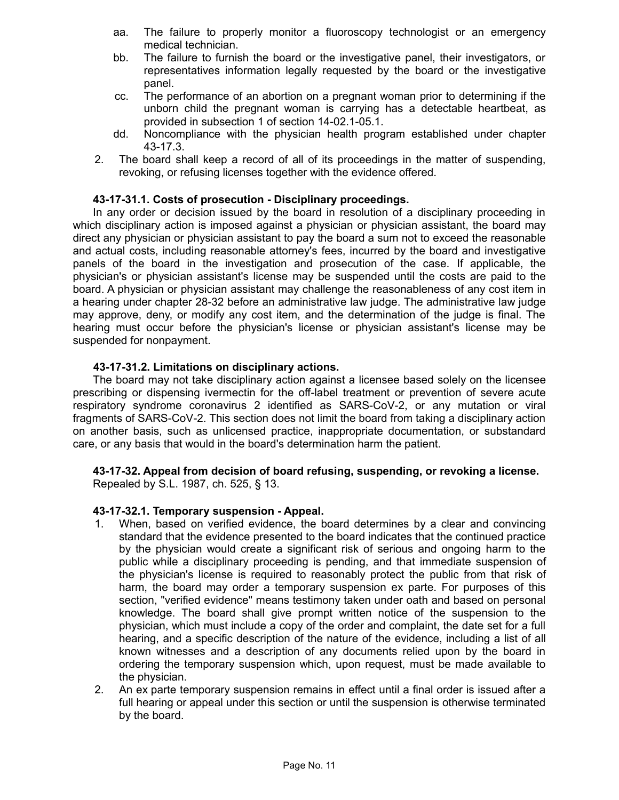- aa. The failure to properly monitor a fluoroscopy technologist or an emergency medical technician.
- bb. The failure to furnish the board or the investigative panel, their investigators, or representatives information legally requested by the board or the investigative panel.
- cc. The performance of an abortion on a pregnant woman prior to determining if the unborn child the pregnant woman is carrying has a detectable heartbeat, as provided in subsection 1 of section 14-02.1-05.1.
- dd. Noncompliance with the physician health program established under chapter 43-17.3.
- 2. The board shall keep a record of all of its proceedings in the matter of suspending, revoking, or refusing licenses together with the evidence offered.

### **43-17-31.1. Costs of prosecution - Disciplinary proceedings.**

In any order or decision issued by the board in resolution of a disciplinary proceeding in which disciplinary action is imposed against a physician or physician assistant, the board may direct any physician or physician assistant to pay the board a sum not to exceed the reasonable and actual costs, including reasonable attorney's fees, incurred by the board and investigative panels of the board in the investigation and prosecution of the case. If applicable, the physician's or physician assistant's license may be suspended until the costs are paid to the board. A physician or physician assistant may challenge the reasonableness of any cost item in a hearing under chapter 28-32 before an administrative law judge. The administrative law judge may approve, deny, or modify any cost item, and the determination of the judge is final. The hearing must occur before the physician's license or physician assistant's license may be suspended for nonpayment.

### **43-17-31.2. Limitations on disciplinary actions.**

The board may not take disciplinary action against a licensee based solely on the licensee prescribing or dispensing ivermectin for the off-label treatment or prevention of severe acute respiratory syndrome coronavirus 2 identified as SARS-CoV-2, or any mutation or viral fragments of SARS-CoV-2. This section does not limit the board from taking a disciplinary action on another basis, such as unlicensed practice, inappropriate documentation, or substandard care, or any basis that would in the board's determination harm the patient.

#### **43-17-32. Appeal from decision of board refusing, suspending, or revoking a license.** Repealed by S.L. 1987, ch. 525, § 13.

#### **43-17-32.1. Temporary suspension - Appeal.**

- 1. When, based on verified evidence, the board determines by a clear and convincing standard that the evidence presented to the board indicates that the continued practice by the physician would create a significant risk of serious and ongoing harm to the public while a disciplinary proceeding is pending, and that immediate suspension of the physician's license is required to reasonably protect the public from that risk of harm, the board may order a temporary suspension ex parte. For purposes of this section, "verified evidence" means testimony taken under oath and based on personal knowledge. The board shall give prompt written notice of the suspension to the physician, which must include a copy of the order and complaint, the date set for a full hearing, and a specific description of the nature of the evidence, including a list of all known witnesses and a description of any documents relied upon by the board in ordering the temporary suspension which, upon request, must be made available to the physician.
- 2. An ex parte temporary suspension remains in effect until a final order is issued after a full hearing or appeal under this section or until the suspension is otherwise terminated by the board.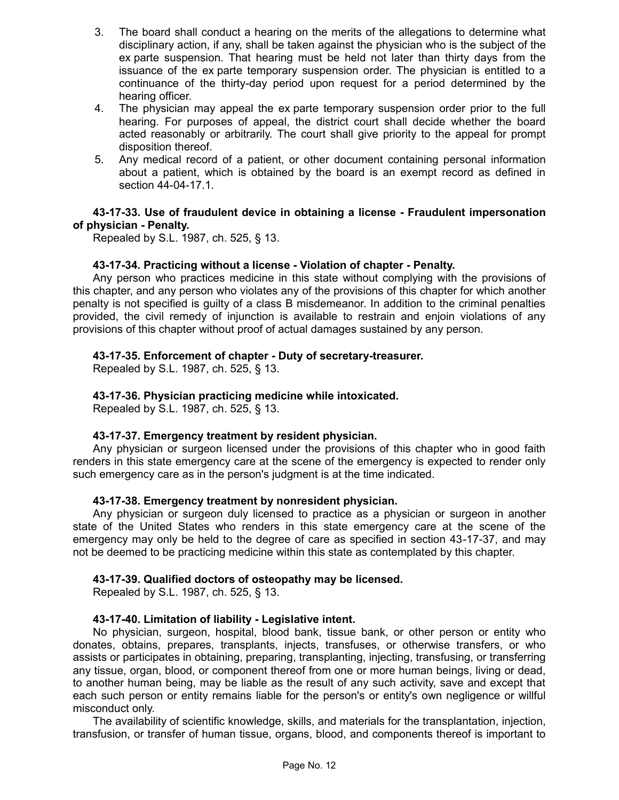- 3. The board shall conduct a hearing on the merits of the allegations to determine what disciplinary action, if any, shall be taken against the physician who is the subject of the ex parte suspension. That hearing must be held not later than thirty days from the issuance of the ex parte temporary suspension order. The physician is entitled to a continuance of the thirty-day period upon request for a period determined by the hearing officer.
- 4. The physician may appeal the ex parte temporary suspension order prior to the full hearing. For purposes of appeal, the district court shall decide whether the board acted reasonably or arbitrarily. The court shall give priority to the appeal for prompt disposition thereof.
- 5. Any medical record of a patient, or other document containing personal information about a patient, which is obtained by the board is an exempt record as defined in section 44-04-17.1.

### **43-17-33. Use of fraudulent device in obtaining a license - Fraudulent impersonation of physician - Penalty.**

Repealed by S.L. 1987, ch. 525, § 13.

### **43-17-34. Practicing without a license - Violation of chapter - Penalty.**

Any person who practices medicine in this state without complying with the provisions of this chapter, and any person who violates any of the provisions of this chapter for which another penalty is not specified is guilty of a class B misdemeanor. In addition to the criminal penalties provided, the civil remedy of injunction is available to restrain and enjoin violations of any provisions of this chapter without proof of actual damages sustained by any person.

### **43-17-35. Enforcement of chapter - Duty of secretary-treasurer.**

Repealed by S.L. 1987, ch. 525, § 13.

### **43-17-36. Physician practicing medicine while intoxicated.**

Repealed by S.L. 1987, ch. 525, § 13.

#### **43-17-37. Emergency treatment by resident physician.**

Any physician or surgeon licensed under the provisions of this chapter who in good faith renders in this state emergency care at the scene of the emergency is expected to render only such emergency care as in the person's judgment is at the time indicated.

#### **43-17-38. Emergency treatment by nonresident physician.**

Any physician or surgeon duly licensed to practice as a physician or surgeon in another state of the United States who renders in this state emergency care at the scene of the emergency may only be held to the degree of care as specified in section 43-17-37, and may not be deemed to be practicing medicine within this state as contemplated by this chapter.

#### **43-17-39. Qualified doctors of osteopathy may be licensed.**

Repealed by S.L. 1987, ch. 525, § 13.

### **43-17-40. Limitation of liability - Legislative intent.**

No physician, surgeon, hospital, blood bank, tissue bank, or other person or entity who donates, obtains, prepares, transplants, injects, transfuses, or otherwise transfers, or who assists or participates in obtaining, preparing, transplanting, injecting, transfusing, or transferring any tissue, organ, blood, or component thereof from one or more human beings, living or dead, to another human being, may be liable as the result of any such activity, save and except that each such person or entity remains liable for the person's or entity's own negligence or willful misconduct only.

The availability of scientific knowledge, skills, and materials for the transplantation, injection, transfusion, or transfer of human tissue, organs, blood, and components thereof is important to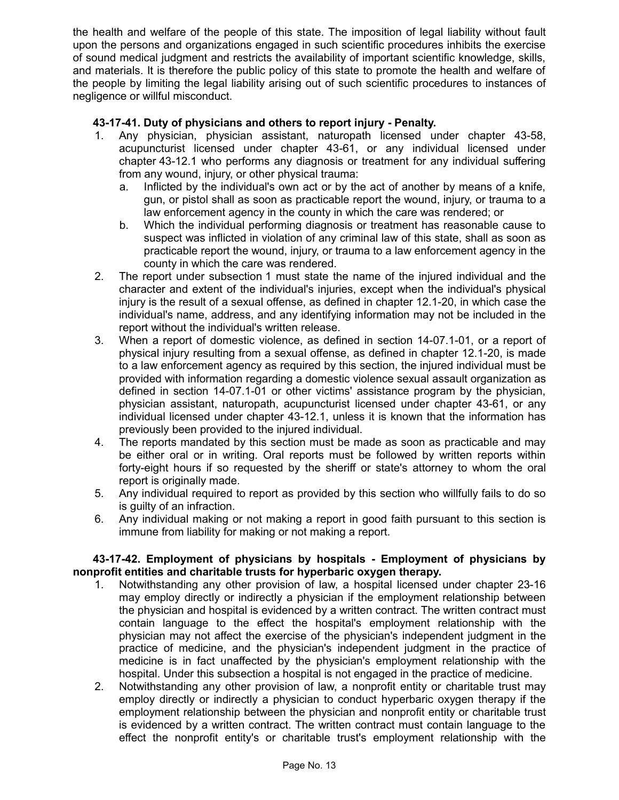the health and welfare of the people of this state. The imposition of legal liability without fault upon the persons and organizations engaged in such scientific procedures inhibits the exercise of sound medical judgment and restricts the availability of important scientific knowledge, skills, and materials. It is therefore the public policy of this state to promote the health and welfare of the people by limiting the legal liability arising out of such scientific procedures to instances of negligence or willful misconduct.

# **43-17-41. Duty of physicians and others to report injury - Penalty.**

- 1. Any physician, physician assistant, naturopath licensed under chapter 43-58, acupuncturist licensed under chapter 43-61, or any individual licensed under chapter 43-12.1 who performs any diagnosis or treatment for any individual suffering from any wound, injury, or other physical trauma:
	- a. Inflicted by the individual's own act or by the act of another by means of a knife, gun, or pistol shall as soon as practicable report the wound, injury, or trauma to a law enforcement agency in the county in which the care was rendered; or
	- b. Which the individual performing diagnosis or treatment has reasonable cause to suspect was inflicted in violation of any criminal law of this state, shall as soon as practicable report the wound, injury, or trauma to a law enforcement agency in the county in which the care was rendered.
- 2. The report under subsection 1 must state the name of the injured individual and the character and extent of the individual's injuries, except when the individual's physical injury is the result of a sexual offense, as defined in chapter 12.1-20, in which case the individual's name, address, and any identifying information may not be included in the report without the individual's written release.
- 3. When a report of domestic violence, as defined in section 14-07.1-01, or a report of physical injury resulting from a sexual offense, as defined in chapter 12.1-20, is made to a law enforcement agency as required by this section, the injured individual must be provided with information regarding a domestic violence sexual assault organization as defined in section 14-07.1-01 or other victims' assistance program by the physician, physician assistant, naturopath, acupuncturist licensed under chapter 43-61, or any individual licensed under chapter 43-12.1, unless it is known that the information has previously been provided to the injured individual.
- 4. The reports mandated by this section must be made as soon as practicable and may be either oral or in writing. Oral reports must be followed by written reports within forty-eight hours if so requested by the sheriff or state's attorney to whom the oral report is originally made.
- 5. Any individual required to report as provided by this section who willfully fails to do so is guilty of an infraction.
- 6. Any individual making or not making a report in good faith pursuant to this section is immune from liability for making or not making a report.

## **43-17-42. Employment of physicians by hospitals - Employment of physicians by nonprofit entities and charitable trusts for hyperbaric oxygen therapy.**

- 1. Notwithstanding any other provision of law, a hospital licensed under chapter 23-16 may employ directly or indirectly a physician if the employment relationship between the physician and hospital is evidenced by a written contract. The written contract must contain language to the effect the hospital's employment relationship with the physician may not affect the exercise of the physician's independent judgment in the practice of medicine, and the physician's independent judgment in the practice of medicine is in fact unaffected by the physician's employment relationship with the hospital. Under this subsection a hospital is not engaged in the practice of medicine.
- 2. Notwithstanding any other provision of law, a nonprofit entity or charitable trust may employ directly or indirectly a physician to conduct hyperbaric oxygen therapy if the employment relationship between the physician and nonprofit entity or charitable trust is evidenced by a written contract. The written contract must contain language to the effect the nonprofit entity's or charitable trust's employment relationship with the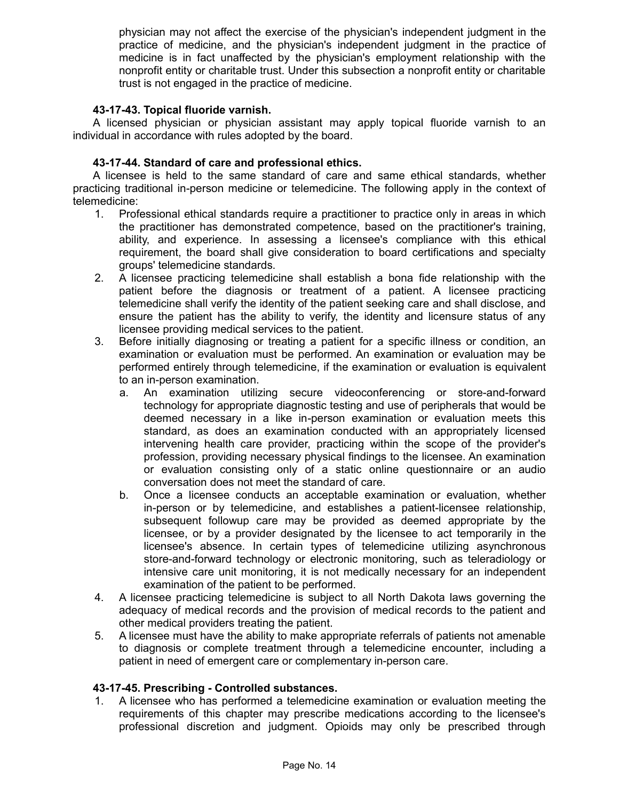physician may not affect the exercise of the physician's independent judgment in the practice of medicine, and the physician's independent judgment in the practice of medicine is in fact unaffected by the physician's employment relationship with the nonprofit entity or charitable trust. Under this subsection a nonprofit entity or charitable trust is not engaged in the practice of medicine.

### **43-17-43. Topical fluoride varnish.**

A licensed physician or physician assistant may apply topical fluoride varnish to an individual in accordance with rules adopted by the board.

### **43-17-44. Standard of care and professional ethics.**

A licensee is held to the same standard of care and same ethical standards, whether practicing traditional in-person medicine or telemedicine. The following apply in the context of telemedicine:

- 1. Professional ethical standards require a practitioner to practice only in areas in which the practitioner has demonstrated competence, based on the practitioner's training, ability, and experience. In assessing a licensee's compliance with this ethical requirement, the board shall give consideration to board certifications and specialty groups' telemedicine standards.
- 2. A licensee practicing telemedicine shall establish a bona fide relationship with the patient before the diagnosis or treatment of a patient. A licensee practicing telemedicine shall verify the identity of the patient seeking care and shall disclose, and ensure the patient has the ability to verify, the identity and licensure status of any licensee providing medical services to the patient.
- 3. Before initially diagnosing or treating a patient for a specific illness or condition, an examination or evaluation must be performed. An examination or evaluation may be performed entirely through telemedicine, if the examination or evaluation is equivalent to an in-person examination.
	- a. An examination utilizing secure videoconferencing or store-and-forward technology for appropriate diagnostic testing and use of peripherals that would be deemed necessary in a like in-person examination or evaluation meets this standard, as does an examination conducted with an appropriately licensed intervening health care provider, practicing within the scope of the provider's profession, providing necessary physical findings to the licensee. An examination or evaluation consisting only of a static online questionnaire or an audio conversation does not meet the standard of care.
	- b. Once a licensee conducts an acceptable examination or evaluation, whether in-person or by telemedicine, and establishes a patient-licensee relationship, subsequent followup care may be provided as deemed appropriate by the licensee, or by a provider designated by the licensee to act temporarily in the licensee's absence. In certain types of telemedicine utilizing asynchronous store-and-forward technology or electronic monitoring, such as teleradiology or intensive care unit monitoring, it is not medically necessary for an independent examination of the patient to be performed.
- 4. A licensee practicing telemedicine is subject to all North Dakota laws governing the adequacy of medical records and the provision of medical records to the patient and other medical providers treating the patient.
- 5. A licensee must have the ability to make appropriate referrals of patients not amenable to diagnosis or complete treatment through a telemedicine encounter, including a patient in need of emergent care or complementary in-person care.

#### **43-17-45. Prescribing - Controlled substances.**

1. A licensee who has performed a telemedicine examination or evaluation meeting the requirements of this chapter may prescribe medications according to the licensee's professional discretion and judgment. Opioids may only be prescribed through